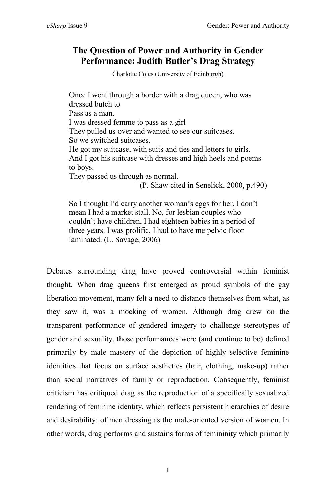# **The Question of Power and Authority in Gender Performance: Judith Butler's Drag Strategy**

Charlotte Coles (University of Edinburgh)

Once I went through a border with a drag queen, who was dressed butch to Pass as a man. I was dressed femme to pass as a girl They pulled us over and wanted to see our suitcases. So we switched suitcases. He got my suitcase, with suits and ties and letters to girls. And I got his suitcase with dresses and high heels and poems to boys. They passed us through as normal. (P. Shaw cited in Senelick, 2000, p.490)

So I thought I'd carry another woman's eggs for her. I don't mean I had a market stall. No, for lesbian couples who couldn't have children, I had eighteen babies in a period of three years. I was prolific, I had to have me pelvic floor laminated. (L. Savage, 2006)

Debates surrounding drag have proved controversial within feminist thought. When drag queens first emerged as proud symbols of the gay liberation movement, many felt a need to distance themselves from what, as they saw it, was a mocking of women. Although drag drew on the transparent performance of gendered imagery to challenge stereotypes of gender and sexuality, those performances were (and continue to be) defined primarily by male mastery of the depiction of highly selective feminine identities that focus on surface aesthetics (hair, clothing, make-up) rather than social narratives of family or reproduction. Consequently, feminist criticism has critiqued drag as the reproduction of a specifically sexualized rendering of feminine identity, which reflects persistent hierarchies of desire and desirability: of men dressing as the male-oriented version of women. In other words, drag performs and sustains forms of femininity which primarily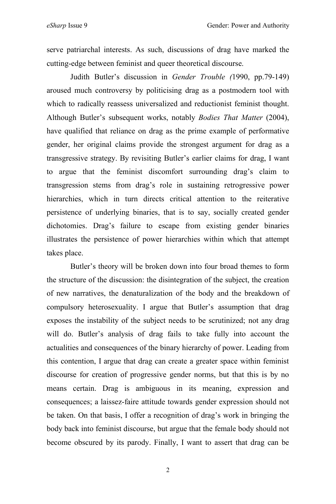serve patriarchal interests. As such, discussions of drag have marked the cutting-edge between feminist and queer theoretical discourse.

Judith Butler's discussion in *Gender Trouble (*1990, pp.79-149) aroused much controversy by politicising drag as a postmodern tool with which to radically reassess universalized and reductionist feminist thought. Although Butler's subsequent works, notably *Bodies That Matter* (2004), have qualified that reliance on drag as the prime example of performative gender, her original claims provide the strongest argument for drag as a transgressive strategy. By revisiting Butler's earlier claims for drag, I want to argue that the feminist discomfort surrounding drag's claim to transgression stems from drag's role in sustaining retrogressive power hierarchies, which in turn directs critical attention to the reiterative persistence of underlying binaries, that is to say, socially created gender dichotomies. Drag's failure to escape from existing gender binaries illustrates the persistence of power hierarchies within which that attempt takes place.

Butler's theory will be broken down into four broad themes to form the structure of the discussion: the disintegration of the subject, the creation of new narratives, the denaturalization of the body and the breakdown of compulsory heterosexuality. I argue that Butler's assumption that drag exposes the instability of the subject needs to be scrutinized; not any drag will do. Butler's analysis of drag fails to take fully into account the actualities and consequences of the binary hierarchy of power. Leading from this contention, I argue that drag can create a greater space within feminist discourse for creation of progressive gender norms, but that this is by no means certain. Drag is ambiguous in its meaning, expression and consequences; a laissez-faire attitude towards gender expression should not be taken. On that basis, I offer a recognition of drag's work in bringing the body back into feminist discourse, but argue that the female body should not become obscured by its parody. Finally, I want to assert that drag can be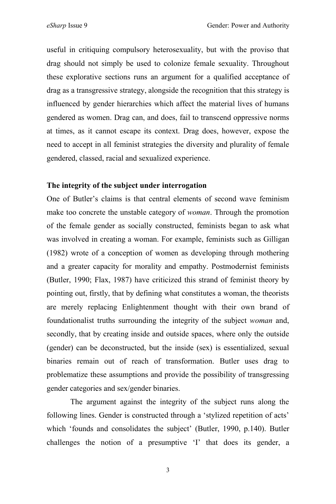useful in critiquing compulsory heterosexuality, but with the proviso that drag should not simply be used to colonize female sexuality. Throughout these explorative sections runs an argument for a qualified acceptance of drag as a transgressive strategy, alongside the recognition that this strategy is influenced by gender hierarchies which affect the material lives of humans gendered as women. Drag can, and does, fail to transcend oppressive norms at times, as it cannot escape its context. Drag does, however, expose the need to accept in all feminist strategies the diversity and plurality of female gendered, classed, racial and sexualized experience.

## **The integrity of the subject under interrogation**

One of Butler's claims is that central elements of second wave feminism make too concrete the unstable category of *woman*. Through the promotion of the female gender as socially constructed, feminists began to ask what was involved in creating a woman. For example, feminists such as Gilligan (1982) wrote of a conception of women as developing through mothering and a greater capacity for morality and empathy. Postmodernist feminists (Butler, 1990; Flax, 1987) have criticized this strand of feminist theory by pointing out, firstly, that by defining what constitutes a woman, the theorists are merely replacing Enlightenment thought with their own brand of foundationalist truths surrounding the integrity of the subject *woman* and, secondly, that by creating inside and outside spaces, where only the outside (gender) can be deconstructed, but the inside (sex) is essentialized, sexual binaries remain out of reach of transformation. Butler uses drag to problematize these assumptions and provide the possibility of transgressing gender categories and sex/gender binaries.

The argument against the integrity of the subject runs along the following lines. Gender is constructed through a 'stylized repetition of acts' which 'founds and consolidates the subject' (Butler, 1990, p.140). Butler challenges the notion of a presumptive 'I' that does its gender, a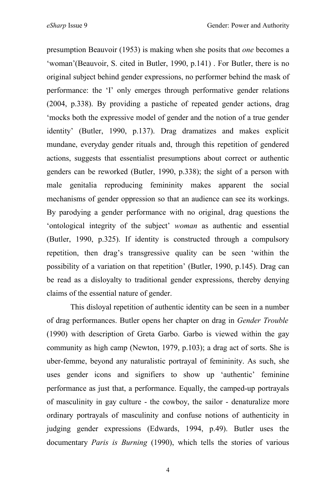presumption Beauvoir (1953) is making when she posits that *one* becomes a 'woman'(Beauvoir, S. cited in Butler, 1990, p.141) . For Butler, there is no original subject behind gender expressions, no performer behind the mask of performance: the 'I' only emerges through performative gender relations (2004, p.338). By providing a pastiche of repeated gender actions, drag 'mocks both the expressive model of gender and the notion of a true gender identity' (Butler, 1990, p.137). Drag dramatizes and makes explicit mundane, everyday gender rituals and, through this repetition of gendered actions, suggests that essentialist presumptions about correct or authentic genders can be reworked (Butler, 1990, p.338); the sight of a person with male genitalia reproducing femininity makes apparent the social mechanisms of gender oppression so that an audience can see its workings. By parodying a gender performance with no original, drag questions the 'ontological integrity of the subject' *woman* as authentic and essential (Butler, 1990, p.325). If identity is constructed through a compulsory repetition, then drag's transgressive quality can be seen 'within the possibility of a variation on that repetition' (Butler, 1990, p.145). Drag can be read as a disloyalty to traditional gender expressions, thereby denying claims of the essential nature of gender.

This disloyal repetition of authentic identity can be seen in a number of drag performances. Butler opens her chapter on drag in *Gender Trouble* (1990) with description of Greta Garbo. Garbo is viewed within the gay community as high camp (Newton, 1979, p.103); a drag act of sorts. She is uber-femme, beyond any naturalistic portrayal of femininity. As such, she uses gender icons and signifiers to show up 'authentic' feminine performance as just that, a performance. Equally, the camped-up portrayals of masculinity in gay culture - the cowboy, the sailor - denaturalize more ordinary portrayals of masculinity and confuse notions of authenticity in judging gender expressions (Edwards, 1994, p.49). Butler uses the documentary *Paris is Burning* (1990), which tells the stories of various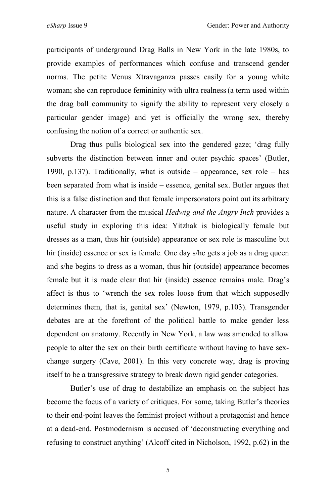participants of underground Drag Balls in New York in the late 1980s, to provide examples of performances which confuse and transcend gender norms. The petite Venus Xtravaganza passes easily for a young white woman; she can reproduce femininity with ultra realness(a term used within the drag ball community to signify the ability to represent very closely a particular gender image) and yet is officially the wrong sex, thereby confusing the notion of a correct or authentic sex.

Drag thus pulls biological sex into the gendered gaze; 'drag fully subverts the distinction between inner and outer psychic spaces' (Butler, 1990, p.137). Traditionally, what is outside – appearance, sex role – has been separated from what is inside – essence, genital sex. Butler argues that this is a false distinction and that female impersonators point out its arbitrary nature. A character from the musical *Hedwig and the Angry Inch* provides a useful study in exploring this idea: Yitzhak is biologically female but dresses as a man, thus hir (outside) appearance or sex role is masculine but hir (inside) essence or sex is female. One day s/he gets a job as a drag queen and s/he begins to dress as a woman, thus hir (outside) appearance becomes female but it is made clear that hir (inside) essence remains male. Drag's affect is thus to 'wrench the sex roles loose from that which supposedly determines them, that is, genital sex' (Newton, 1979, p.103). Transgender debates are at the forefront of the political battle to make gender less dependent on anatomy. Recently in New York, a law was amended to allow people to alter the sex on their birth certificate without having to have sexchange surgery (Cave, 2001). In this very concrete way, drag is proving itself to be a transgressive strategy to break down rigid gender categories.

Butler's use of drag to destabilize an emphasis on the subject has become the focus of a variety of critiques. For some, taking Butler's theories to their end-point leaves the feminist project without a protagonist and hence at a dead-end. Postmodernism is accused of 'deconstructing everything and refusing to construct anything' (Alcoff cited in Nicholson, 1992, p.62) in the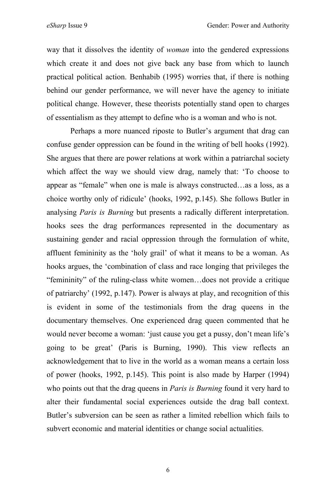way that it dissolves the identity of *woman* into the gendered expressions which create it and does not give back any base from which to launch practical political action. Benhabib (1995) worries that, if there is nothing behind our gender performance, we will never have the agency to initiate political change. However, these theorists potentially stand open to charges of essentialism as they attempt to define who is a woman and who is not.

Perhaps a more nuanced riposte to Butler's argument that drag can confuse gender oppression can be found in the writing of bell hooks (1992). She argues that there are power relations at work within a patriarchal society which affect the way we should view drag, namely that: 'To choose to appear as "female" when one is male is always constructed…as a loss, as a choice worthy only of ridicule' (hooks, 1992, p.145). She follows Butler in analysing *Paris is Burning* but presents a radically different interpretation. hooks sees the drag performances represented in the documentary as sustaining gender and racial oppression through the formulation of white, affluent femininity as the 'holy grail' of what it means to be a woman. As hooks argues, the 'combination of class and race longing that privileges the "femininity" of the ruling-class white women…does not provide a critique of patriarchy' (1992, p.147). Power is always at play, and recognition of this is evident in some of the testimonials from the drag queens in the documentary themselves. One experienced drag queen commented that he would never become a woman: 'just cause you get a pussy, don't mean life's going to be great' (Paris is Burning, 1990). This view reflects an acknowledgement that to live in the world as a woman means a certain loss of power (hooks, 1992, p.145). This point is also made by Harper (1994) who points out that the drag queens in *Paris is Burning* found it very hard to alter their fundamental social experiences outside the drag ball context. Butler's subversion can be seen as rather a limited rebellion which fails to subvert economic and material identities or change social actualities.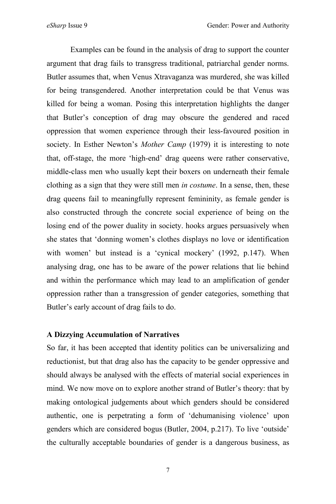Examples can be found in the analysis of drag to support the counter argument that drag fails to transgress traditional, patriarchal gender norms. Butler assumes that, when Venus Xtravaganza was murdered, she was killed for being transgendered. Another interpretation could be that Venus was killed for being a woman. Posing this interpretation highlights the danger that Butler's conception of drag may obscure the gendered and raced oppression that women experience through their less-favoured position in society. In Esther Newton's *Mother Camp* (1979) it is interesting to note that, off-stage, the more 'high-end' drag queens were rather conservative, middle-class men who usually kept their boxers on underneath their female clothing as a sign that they were still men *in costume*. In a sense, then, these drag queens fail to meaningfully represent femininity, as female gender is also constructed through the concrete social experience of being on the losing end of the power duality in society. hooks argues persuasively when she states that 'donning women's clothes displays no love or identification with women' but instead is a 'cynical mockery' (1992, p.147). When analysing drag, one has to be aware of the power relations that lie behind and within the performance which may lead to an amplification of gender oppression rather than a transgression of gender categories, something that Butler's early account of drag fails to do.

### **A Dizzying Accumulation of Narratives**

So far, it has been accepted that identity politics can be universalizing and reductionist, but that drag also has the capacity to be gender oppressive and should always be analysed with the effects of material social experiences in mind. We now move on to explore another strand of Butler's theory: that by making ontological judgements about which genders should be considered authentic, one is perpetrating a form of 'dehumanising violence' upon genders which are considered bogus (Butler, 2004, p.217). To live 'outside' the culturally acceptable boundaries of gender is a dangerous business, as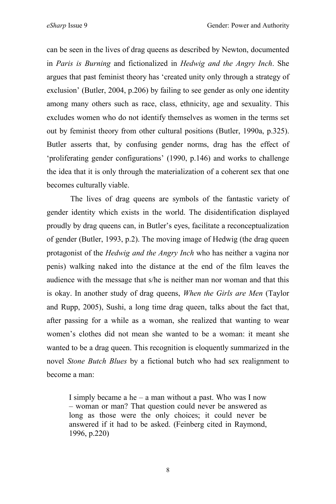can be seen in the lives of drag queens as described by Newton, documented in *Paris is Burning* and fictionalized in *Hedwig and the Angry Inch*. She argues that past feminist theory has 'created unity only through a strategy of exclusion' (Butler, 2004, p.206) by failing to see gender as only one identity among many others such as race, class, ethnicity, age and sexuality. This excludes women who do not identify themselves as women in the terms set out by feminist theory from other cultural positions (Butler, 1990a, p.325). Butler asserts that, by confusing gender norms, drag has the effect of 'proliferating gender configurations' (1990, p.146) and works to challenge the idea that it is only through the materialization of a coherent sex that one becomes culturally viable.

The lives of drag queens are symbols of the fantastic variety of gender identity which exists in the world. The disidentification displayed proudly by drag queens can, in Butler's eyes, facilitate a reconceptualization of gender (Butler, 1993, p.2). The moving image of Hedwig (the drag queen protagonist of the *Hedwig and the Angry Inch* who has neither a vagina nor penis) walking naked into the distance at the end of the film leaves the audience with the message that s/he is neither man nor woman and that this is okay. In another study of drag queens, *When the Girls are Men* (Taylor and Rupp, 2005), Sushi, a long time drag queen, talks about the fact that, after passing for a while as a woman, she realized that wanting to wear women's clothes did not mean she wanted to be a woman: it meant she wanted to be a drag queen. This recognition is eloquently summarized in the novel *Stone Butch Blues* by a fictional butch who had sex realignment to become a man:

I simply became a he – a man without a past. Who was I now – woman or man? That question could never be answered as long as those were the only choices; it could never be answered if it had to be asked. (Feinberg cited in Raymond, 1996, p.220)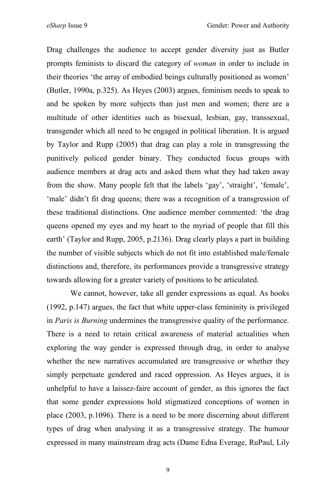Drag challenges the audience to accept gender diversity just as Butler prompts feminists to discard the category of *woman* in order to include in their theories 'the array of embodied beings culturally positioned as women' (Butler, 1990a, p.325). As Heyes (2003) argues, feminism needs to speak to and be spoken by more subjects than just men and women; there are a multitude of other identities such as bisexual, lesbian, gay, transsexual, transgender which all need to be engaged in political liberation. It is argued by Taylor and Rupp (2005) that drag can play a role in transgressing the punitively policed gender binary. They conducted focus groups with audience members at drag acts and asked them what they had taken away from the show. Many people felt that the labels 'gay', 'straight', 'female', 'male' didn't fit drag queens; there was a recognition of a transgression of these traditional distinctions. One audience member commented: 'the drag queens opened my eyes and my heart to the myriad of people that fill this earth' (Taylor and Rupp, 2005, p.2136). Drag clearly plays a part in building the number of visible subjects which do not fit into established male/female distinctions and, therefore, its performances provide a transgressive strategy towards allowing for a greater variety of positions to be articulated.

We cannot, however, take all gender expressions as equal. As hooks (1992, p.147) argues, the fact that white upper-class femininity is privileged in *Paris is Burning* undermines the transgressive quality of the performance. There is a need to retain critical awareness of material actualities when exploring the way gender is expressed through drag, in order to analyse whether the new narratives accumulated are transgressive or whether they simply perpetuate gendered and raced oppression. As Heyes argues, it is unhelpful to have a laissez-faire account of gender, as this ignores the fact that some gender expressions hold stigmatized conceptions of women in place (2003, p.1096). There is a need to be more discerning about different types of drag when analysing it as a transgressive strategy. The humour expressed in many mainstream drag acts (Dame Edna Everage, RuPaul, Lily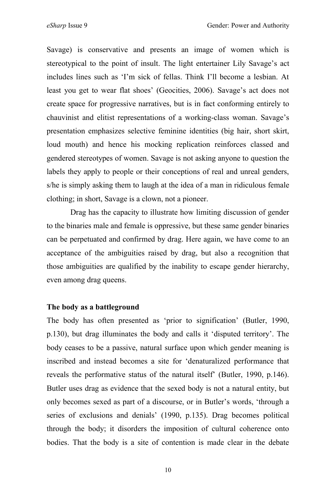Savage) is conservative and presents an image of women which is stereotypical to the point of insult. The light entertainer Lily Savage's act includes lines such as 'I'm sick of fellas. Think I'll become a lesbian. At least you get to wear flat shoes' (Geocities, 2006). Savage's act does not create space for progressive narratives, but is in fact conforming entirely to chauvinist and elitist representations of a working-class woman. Savage's presentation emphasizes selective feminine identities (big hair, short skirt, loud mouth) and hence his mocking replication reinforces classed and gendered stereotypes of women. Savage is not asking anyone to question the labels they apply to people or their conceptions of real and unreal genders, s/he is simply asking them to laugh at the idea of a man in ridiculous female clothing; in short, Savage is a clown, not a pioneer.

Drag has the capacity to illustrate how limiting discussion of gender to the binaries male and female is oppressive, but these same gender binaries can be perpetuated and confirmed by drag. Here again, we have come to an acceptance of the ambiguities raised by drag, but also a recognition that those ambiguities are qualified by the inability to escape gender hierarchy, even among drag queens.

### **The body as a battleground**

The body has often presented as 'prior to signification' (Butler, 1990, p.130), but drag illuminates the body and calls it 'disputed territory'. The body ceases to be a passive, natural surface upon which gender meaning is inscribed and instead becomes a site for 'denaturalized performance that reveals the performative status of the natural itself' (Butler, 1990, p.146). Butler uses drag as evidence that the sexed body is not a natural entity, but only becomes sexed as part of a discourse, or in Butler's words, 'through a series of exclusions and denials' (1990, p.135). Drag becomes political through the body; it disorders the imposition of cultural coherence onto bodies. That the body is a site of contention is made clear in the debate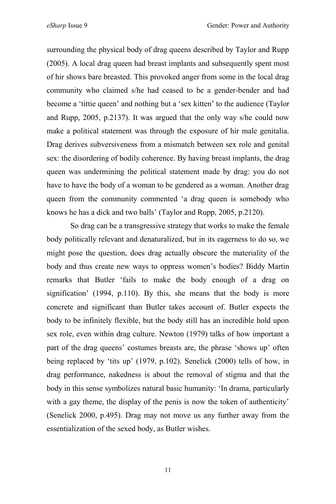surrounding the physical body of drag queens described by Taylor and Rupp (2005). A local drag queen had breast implants and subsequently spent most of hir shows bare breasted. This provoked anger from some in the local drag community who claimed s/he had ceased to be a gender-bender and had become a 'tittie queen' and nothing but a 'sex kitten' to the audience (Taylor and Rupp, 2005, p.2137). It was argued that the only way s/he could now make a political statement was through the exposure of hir male genitalia. Drag derives subversiveness from a mismatch between sex role and genital sex: the disordering of bodily coherence. By having breast implants, the drag queen was undermining the political statement made by drag: you do not have to have the body of a woman to be gendered as a woman. Another drag queen from the community commented 'a drag queen is somebody who knows he has a dick and two balls' (Taylor and Rupp, 2005, p.2120).

So drag can be a transgressive strategy that works to make the female body politically relevant and denaturalized, but in its eagerness to do so, we might pose the question, does drag actually obscure the materiality of the body and thus create new ways to oppress women's bodies? Biddy Martin remarks that Butler 'fails to make the body enough of a drag on signification' (1994, p.110). By this, she means that the body is more concrete and significant than Butler takes account of. Butler expects the body to be infinitely flexible, but the body still has an incredible hold upon sex role, even within drag culture. Newton (1979) talks of how important a part of the drag queens' costumes breasts are, the phrase 'shows up' often being replaced by 'tits up' (1979, p.102). Senelick (2000) tells of how, in drag performance, nakedness is about the removal of stigma and that the body in this sense symbolizes natural basic humanity: 'In drama, particularly with a gay theme, the display of the penis is now the token of authenticity' (Senelick 2000, p.495). Drag may not move us any further away from the essentialization of the sexed body, as Butler wishes.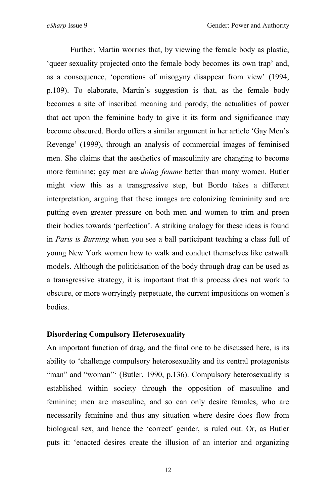Further, Martin worries that, by viewing the female body as plastic, 'queer sexuality projected onto the female body becomes its own trap' and, as a consequence, 'operations of misogyny disappear from view' (1994, p.109). To elaborate, Martin's suggestion is that, as the female body becomes a site of inscribed meaning and parody, the actualities of power that act upon the feminine body to give it its form and significance may become obscured. Bordo offers a similar argument in her article 'Gay Men's Revenge' (1999), through an analysis of commercial images of feminised men. She claims that the aesthetics of masculinity are changing to become more feminine; gay men are *doing femme* better than many women. Butler might view this as a transgressive step, but Bordo takes a different interpretation, arguing that these images are colonizing femininity and are putting even greater pressure on both men and women to trim and preen their bodies towards 'perfection'. A striking analogy for these ideas is found in *Paris is Burning* when you see a ball participant teaching a class full of young New York women how to walk and conduct themselves like catwalk models. Although the politicisation of the body through drag can be used as a transgressive strategy, it is important that this process does not work to obscure, or more worryingly perpetuate, the current impositions on women's bodies.

## **Disordering Compulsory Heterosexuality**

An important function of drag, and the final one to be discussed here, is its ability to 'challenge compulsory heterosexuality and its central protagonists "man" and "woman" (Butler, 1990, p.136). Compulsory heterosexuality is established within society through the opposition of masculine and feminine; men are masculine, and so can only desire females, who are necessarily feminine and thus any situation where desire does flow from biological sex, and hence the 'correct' gender, is ruled out. Or, as Butler puts it: 'enacted desires create the illusion of an interior and organizing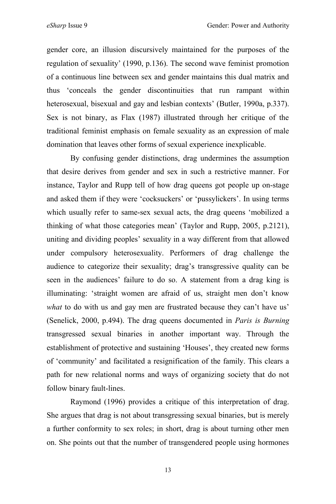gender core, an illusion discursively maintained for the purposes of the regulation of sexuality' (1990, p.136). The second wave feminist promotion of a continuous line between sex and gender maintains this dual matrix and thus 'conceals the gender discontinuities that run rampant within heterosexual, bisexual and gay and lesbian contexts' (Butler, 1990a, p.337). Sex is not binary, as Flax (1987) illustrated through her critique of the traditional feminist emphasis on female sexuality as an expression of male domination that leaves other forms of sexual experience inexplicable.

By confusing gender distinctions, drag undermines the assumption that desire derives from gender and sex in such a restrictive manner. For instance, Taylor and Rupp tell of how drag queens got people up on-stage and asked them if they were 'cocksuckers' or 'pussylickers'. In using terms which usually refer to same-sex sexual acts, the drag queens 'mobilized a thinking of what those categories mean' (Taylor and Rupp, 2005, p.2121), uniting and dividing peoples' sexuality in a way different from that allowed under compulsory heterosexuality. Performers of drag challenge the audience to categorize their sexuality; drag's transgressive quality can be seen in the audiences' failure to do so. A statement from a drag king is illuminating: 'straight women are afraid of us, straight men don't know *what* to do with us and gay men are frustrated because they can't have us' (Senelick, 2000, p.494). The drag queens documented in *Paris is Burning* transgressed sexual binaries in another important way. Through the establishment of protective and sustaining 'Houses', they created new forms of 'community' and facilitated a resignification of the family. This clears a path for new relational norms and ways of organizing society that do not follow binary fault-lines.

Raymond (1996) provides a critique of this interpretation of drag. She argues that drag is not about transgressing sexual binaries, but is merely a further conformity to sex roles; in short, drag is about turning other men on. She points out that the number of transgendered people using hormones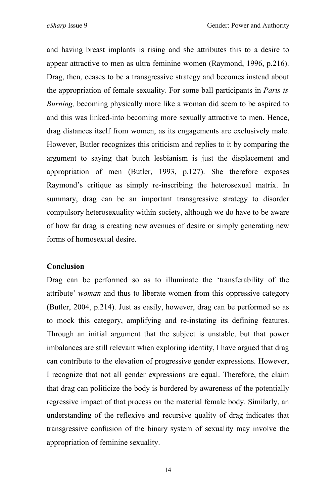and having breast implants is rising and she attributes this to a desire to appear attractive to men as ultra feminine women (Raymond, 1996, p.216). Drag, then, ceases to be a transgressive strategy and becomes instead about the appropriation of female sexuality. For some ball participants in *Paris is Burning,* becoming physically more like a woman did seem to be aspired to and this was linked-into becoming more sexually attractive to men. Hence, drag distances itself from women, as its engagements are exclusively male. However, Butler recognizes this criticism and replies to it by comparing the argument to saying that butch lesbianism is just the displacement and appropriation of men (Butler, 1993, p.127). She therefore exposes Raymond's critique as simply re-inscribing the heterosexual matrix. In summary, drag can be an important transgressive strategy to disorder compulsory heterosexuality within society, although we do have to be aware of how far drag is creating new avenues of desire or simply generating new forms of homosexual desire.

#### **Conclusion**

Drag can be performed so as to illuminate the 'transferability of the attribute' *woman* and thus to liberate women from this oppressive category (Butler, 2004, p.214). Just as easily, however, drag can be performed so as to mock this category, amplifying and re-instating its defining features. Through an initial argument that the subject is unstable, but that power imbalances are still relevant when exploring identity, I have argued that drag can contribute to the elevation of progressive gender expressions. However, I recognize that not all gender expressions are equal. Therefore, the claim that drag can politicize the body is bordered by awareness of the potentially regressive impact of that process on the material female body. Similarly, an understanding of the reflexive and recursive quality of drag indicates that transgressive confusion of the binary system of sexuality may involve the appropriation of feminine sexuality.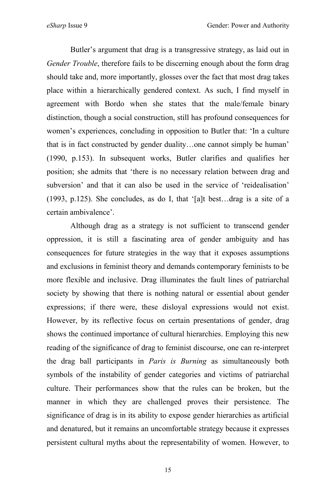Butler's argument that drag is a transgressive strategy, as laid out in *Gender Trouble*, therefore fails to be discerning enough about the form drag should take and, more importantly, glosses over the fact that most drag takes place within a hierarchically gendered context. As such, I find myself in agreement with Bordo when she states that the male/female binary distinction, though a social construction, still has profound consequences for women's experiences, concluding in opposition to Butler that: 'In a culture that is in fact constructed by gender duality…one cannot simply be human' (1990, p.153). In subsequent works, Butler clarifies and qualifies her position; she admits that 'there is no necessary relation between drag and subversion' and that it can also be used in the service of 'reidealisation' (1993, p.125). She concludes, as do I, that '[a]t best…drag is a site of a certain ambivalence'.

Although drag as a strategy is not sufficient to transcend gender oppression, it is still a fascinating area of gender ambiguity and has consequences for future strategies in the way that it exposes assumptions and exclusions in feminist theory and demands contemporary feminists to be more flexible and inclusive. Drag illuminates the fault lines of patriarchal society by showing that there is nothing natural or essential about gender expressions; if there were, these disloyal expressions would not exist. However, by its reflective focus on certain presentations of gender, drag shows the continued importance of cultural hierarchies. Employing this new reading of the significance of drag to feminist discourse, one can re-interpret the drag ball participants in *Paris is Burning* as simultaneously both symbols of the instability of gender categories and victims of patriarchal culture. Their performances show that the rules can be broken, but the manner in which they are challenged proves their persistence. The significance of drag is in its ability to expose gender hierarchies as artificial and denatured, but it remains an uncomfortable strategy because it expresses persistent cultural myths about the representability of women. However, to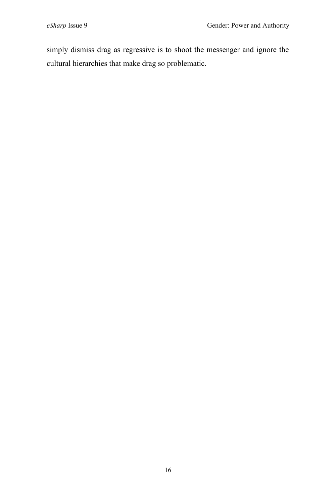simply dismiss drag as regressive is to shoot the messenger and ignore the cultural hierarchies that make drag so problematic.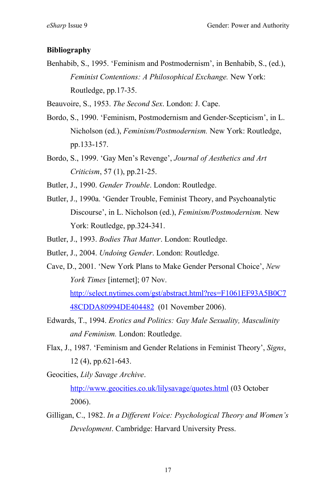## **Bibliography**

Benhabib, S., 1995. 'Feminism and Postmodernism', in Benhabib, S., (ed.), *Feminist Contentions: A Philosophical Exchange.* New York: Routledge, pp.17-35.

Beauvoire, S., 1953. *The Second Sex*. London: J. Cape.

- Bordo, S., 1990. 'Feminism, Postmodernism and Gender-Scepticism', in L. Nicholson (ed.), *Feminism/Postmodernism.* New York: Routledge, pp.133-157.
- Bordo, S., 1999. 'Gay Men's Revenge', *Journal of Aesthetics and Art Criticism*, 57 (1), pp.21-25.

Butler, J., 1990. *Gender Trouble*. London: Routledge.

- Butler, J., 1990a. 'Gender Trouble, Feminist Theory, and Psychoanalytic Discourse', in L. Nicholson (ed.), *Feminism/Postmodernism.* New York: Routledge, pp.324-341.
- Butler, J., 1993. *Bodies That Matter*. London: Routledge.
- Butler, J., 2004. *Undoing Gender*. London: Routledge.
- Cave, D., 2001. 'New York Plans to Make Gender Personal Choice', *New York Times* [internet]; 07 Nov. http://select.nytimes.com/gst/abstract.html?res=F1061EF93A5B0C7 48CDDA80994DE404482 (01 November 2006).
- Edwards, T., 1994. *Erotics and Politics: Gay Male Sexuality, Masculinity and Feminism.* London: Routledge.
- Flax, J., 1987. 'Feminism and Gender Relations in Feminist Theory', *Signs*, 12 (4), pp.621-643.

Geocities, *Lily Savage Archive*.

http://www.geocities.co.uk/lilysavage/quotes.html (03 October 2006).

Gilligan, C., 1982. *In a Different Voice: Psychological Theory and Women's Development*. Cambridge: Harvard University Press.